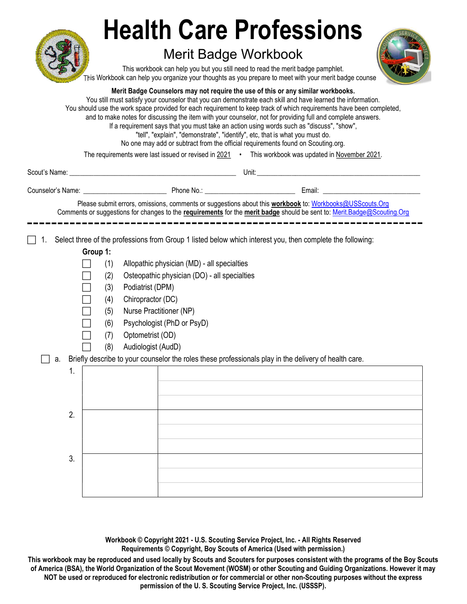|                |                                                                                                                                                                                                                                                                                                             | <b>Health Care Professions</b><br><b>Merit Badge Workbook</b><br>This workbook can help you but you still need to read the merit badge pamphlet.<br>This Workbook can help you organize your thoughts as you prepare to meet with your merit badge counse<br>Merit Badge Counselors may not require the use of this or any similar workbooks.<br>You still must satisfy your counselor that you can demonstrate each skill and have learned the information.<br>You should use the work space provided for each requirement to keep track of which requirements have been completed,<br>and to make notes for discussing the item with your counselor, not for providing full and complete answers.<br>If a requirement says that you must take an action using words such as "discuss", "show",<br>"tell", "explain", "demonstrate", "identify", etc, that is what you must do.<br>No one may add or subtract from the official requirements found on Scouting.org.<br>The requirements were last issued or revised in 2021 • This workbook was updated in November 2021. |
|----------------|-------------------------------------------------------------------------------------------------------------------------------------------------------------------------------------------------------------------------------------------------------------------------------------------------------------|----------------------------------------------------------------------------------------------------------------------------------------------------------------------------------------------------------------------------------------------------------------------------------------------------------------------------------------------------------------------------------------------------------------------------------------------------------------------------------------------------------------------------------------------------------------------------------------------------------------------------------------------------------------------------------------------------------------------------------------------------------------------------------------------------------------------------------------------------------------------------------------------------------------------------------------------------------------------------------------------------------------------------------------------------------------------------|
|                |                                                                                                                                                                                                                                                                                                             |                                                                                                                                                                                                                                                                                                                                                                                                                                                                                                                                                                                                                                                                                                                                                                                                                                                                                                                                                                                                                                                                            |
|                |                                                                                                                                                                                                                                                                                                             |                                                                                                                                                                                                                                                                                                                                                                                                                                                                                                                                                                                                                                                                                                                                                                                                                                                                                                                                                                                                                                                                            |
|                |                                                                                                                                                                                                                                                                                                             | Please submit errors, omissions, comments or suggestions about this workbook to: Workbooks@USScouts.Org<br>Comments or suggestions for changes to the requirements for the merit badge should be sent to: Merit.Badge@Scouting.Org                                                                                                                                                                                                                                                                                                                                                                                                                                                                                                                                                                                                                                                                                                                                                                                                                                         |
| а.<br>1.<br>2. | Group 1:<br>(1)<br>Allopathic physician (MD) - all specialties<br>Osteopathic physician (DO) - all specialties<br>(2)<br>Podiatrist (DPM)<br>(3)<br>Chiropractor (DC)<br>(4)<br>Nurse Practitioner (NP)<br>(5)<br>Psychologist (PhD or PsyD)<br>(6)<br>Optometrist (OD)<br>(7)<br>Audiologist (AudD)<br>(8) | Select three of the professions from Group 1 listed below which interest you, then complete the following:<br>Briefly describe to your counselor the roles these professionals play in the delivery of health care.                                                                                                                                                                                                                                                                                                                                                                                                                                                                                                                                                                                                                                                                                                                                                                                                                                                        |
| 3.             |                                                                                                                                                                                                                                                                                                             |                                                                                                                                                                                                                                                                                                                                                                                                                                                                                                                                                                                                                                                                                                                                                                                                                                                                                                                                                                                                                                                                            |

Workbook © Copyright 2021 - U.S. Scouting Service Project, Inc. - All Rights Reserved Requirements © Copyright, Boy Scouts of America (Used with permission.)

This workbook may be reproduced and used locally by Scouts and Scouters for purposes consistent with the programs of the Boy Scouts of America (BSA), the World Organization of the Scout Movement (WOSM) or other Scouting and Guiding Organizations. However it may NOT be used or reproduced for electronic redistribution or for commercial or other non-Scouting purposes without the express permission of the U. S. Scouting Service Project, Inc. (USSSP).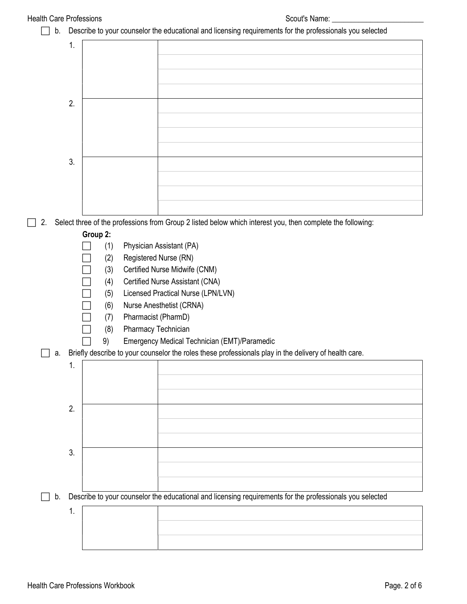| <b>Health Care Professions</b> |    |                              | Scout's Name:                                                                                              |
|--------------------------------|----|------------------------------|------------------------------------------------------------------------------------------------------------|
| b.                             |    |                              | Describe to your counselor the educational and licensing requirements for the professionals you selected   |
|                                | 1. |                              |                                                                                                            |
|                                |    |                              |                                                                                                            |
|                                |    |                              |                                                                                                            |
|                                |    |                              |                                                                                                            |
|                                |    |                              |                                                                                                            |
|                                | 2. |                              |                                                                                                            |
|                                |    |                              |                                                                                                            |
|                                |    |                              |                                                                                                            |
|                                |    |                              |                                                                                                            |
|                                | 3. |                              |                                                                                                            |
|                                |    |                              |                                                                                                            |
|                                |    |                              |                                                                                                            |
|                                |    |                              |                                                                                                            |
|                                |    |                              |                                                                                                            |
| 2.                             |    |                              | Select three of the professions from Group 2 listed below which interest you, then complete the following: |
|                                |    | Group 2:                     |                                                                                                            |
|                                |    | (1)                          | Physician Assistant (PA)                                                                                   |
|                                |    | Registered Nurse (RN)<br>(2) |                                                                                                            |
|                                |    | (3)                          | Certified Nurse Midwife (CNM)                                                                              |
|                                |    | (4)                          | Certified Nurse Assistant (CNA)                                                                            |
|                                |    | (5)                          | Licensed Practical Nurse (LPN/LVN)                                                                         |
|                                |    | (6)                          | Nurse Anesthetist (CRNA)                                                                                   |
|                                |    | Pharmacist (PharmD)<br>(7)   |                                                                                                            |
|                                |    | Pharmacy Technician<br>(8)   |                                                                                                            |
|                                |    | 9)                           | Emergency Medical Technician (EMT)/Paramedic                                                               |
| a.                             |    |                              | Briefly describe to your counselor the roles these professionals play in the delivery of health care.      |
|                                | 1. |                              |                                                                                                            |
|                                |    |                              |                                                                                                            |
|                                |    |                              |                                                                                                            |
|                                | 2. |                              |                                                                                                            |
|                                |    |                              |                                                                                                            |
|                                |    |                              |                                                                                                            |
|                                |    |                              |                                                                                                            |
|                                | 3. |                              |                                                                                                            |
|                                |    |                              |                                                                                                            |
|                                |    |                              |                                                                                                            |
| b.                             |    |                              | Describe to your counselor the educational and licensing requirements for the professionals you selected   |
|                                | 1. |                              |                                                                                                            |
|                                |    |                              |                                                                                                            |
|                                |    |                              |                                                                                                            |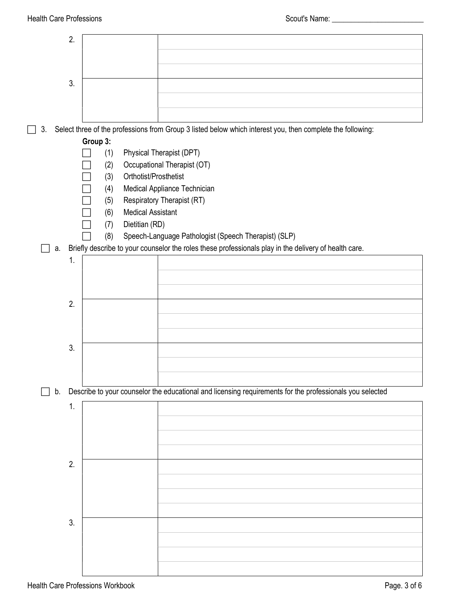|                                         | 2. |            |                          |                                                                                                            |
|-----------------------------------------|----|------------|--------------------------|------------------------------------------------------------------------------------------------------------|
|                                         |    |            |                          |                                                                                                            |
|                                         |    |            |                          |                                                                                                            |
|                                         | 3. |            |                          |                                                                                                            |
|                                         |    |            |                          |                                                                                                            |
| 3.                                      |    |            |                          | Select three of the professions from Group 3 listed below which interest you, then complete the following: |
|                                         |    | Group 3:   |                          |                                                                                                            |
|                                         |    | (1)        |                          | Physical Therapist (DPT)                                                                                   |
|                                         |    | (2)<br>(3) | Orthotist/Prosthetist    | Occupational Therapist (OT)                                                                                |
|                                         |    | (4)        |                          | Medical Appliance Technician                                                                               |
|                                         |    | (5)        |                          | Respiratory Therapist (RT)                                                                                 |
|                                         |    | (6)        | <b>Medical Assistant</b> |                                                                                                            |
|                                         |    | (7)<br>(8) | Dietitian (RD)           | Speech-Language Pathologist (Speech Therapist) (SLP)                                                       |
| а.                                      |    |            |                          | Briefly describe to your counselor the roles these professionals play in the delivery of health care.      |
|                                         | 1. |            |                          |                                                                                                            |
|                                         |    |            |                          |                                                                                                            |
|                                         |    |            |                          |                                                                                                            |
|                                         | 2. |            |                          |                                                                                                            |
|                                         |    |            |                          |                                                                                                            |
|                                         | 3. |            |                          |                                                                                                            |
|                                         |    |            |                          |                                                                                                            |
|                                         |    |            |                          |                                                                                                            |
| b.                                      |    |            |                          | Describe to your counselor the educational and licensing requirements for the professionals you selected   |
|                                         | 1. |            |                          |                                                                                                            |
|                                         |    |            |                          |                                                                                                            |
|                                         |    |            |                          |                                                                                                            |
|                                         |    |            |                          |                                                                                                            |
|                                         | 2. |            |                          |                                                                                                            |
|                                         |    |            |                          |                                                                                                            |
|                                         |    |            |                          |                                                                                                            |
|                                         |    |            |                          |                                                                                                            |
|                                         | 3. |            |                          |                                                                                                            |
|                                         |    |            |                          |                                                                                                            |
|                                         |    |            |                          |                                                                                                            |
|                                         |    |            |                          |                                                                                                            |
| <b>Health Care Professions Workbook</b> |    |            |                          | Page. 3 of 6                                                                                               |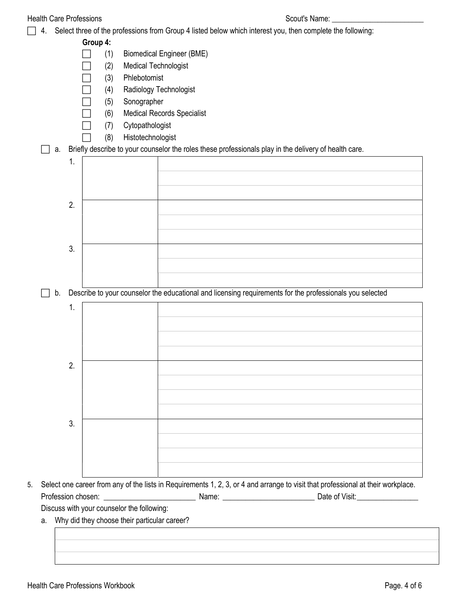|    | <b>Health Care Professions</b> | Scout's Name:                                                                                              |
|----|--------------------------------|------------------------------------------------------------------------------------------------------------|
| 4. |                                | Select three of the professions from Group 4 listed below which interest you, then complete the following: |
|    | Group 4:                       |                                                                                                            |
|    | (1)                            | <b>Biomedical Engineer (BME)</b>                                                                           |
|    | (2)                            | <b>Medical Technologist</b>                                                                                |
|    | (3)                            | Phlebotomist                                                                                               |
|    | (4)                            | Radiology Technologist                                                                                     |
|    | (5)                            | Sonographer                                                                                                |
|    | (6)                            | <b>Medical Records Specialist</b>                                                                          |
|    | (7)                            | Cytopathologist                                                                                            |
|    | (8)                            | Histotechnologist                                                                                          |
| a. |                                | Briefly describe to your counselor the roles these professionals play in the delivery of health care.      |
|    | 1.                             |                                                                                                            |
|    |                                |                                                                                                            |
|    |                                |                                                                                                            |
|    |                                |                                                                                                            |
|    | 2.                             |                                                                                                            |
|    |                                |                                                                                                            |
|    |                                |                                                                                                            |
|    |                                |                                                                                                            |
|    | 3.                             |                                                                                                            |
|    |                                |                                                                                                            |
|    |                                |                                                                                                            |
| b. |                                | Describe to your counselor the educational and licensing requirements for the professionals you selected   |
|    |                                |                                                                                                            |
|    | 1.                             |                                                                                                            |
|    |                                |                                                                                                            |
|    |                                |                                                                                                            |
|    |                                |                                                                                                            |
|    |                                |                                                                                                            |
|    | 2.                             |                                                                                                            |
|    |                                |                                                                                                            |
|    |                                |                                                                                                            |
|    |                                |                                                                                                            |
|    |                                |                                                                                                            |
|    | 3.                             |                                                                                                            |
|    |                                |                                                                                                            |
|    |                                |                                                                                                            |
|    |                                |                                                                                                            |
|    |                                |                                                                                                            |

Profession chosen: \_\_\_\_\_\_\_\_\_\_\_\_\_\_\_\_\_\_\_\_\_\_\_\_ Name: \_\_\_\_\_\_\_\_\_\_\_\_\_\_\_\_\_\_\_\_\_\_\_\_ Date of Visit: \_\_\_\_\_\_\_\_\_\_\_\_\_\_\_\_

Discuss with your counselor the following:

a. Why did they choose their particular career?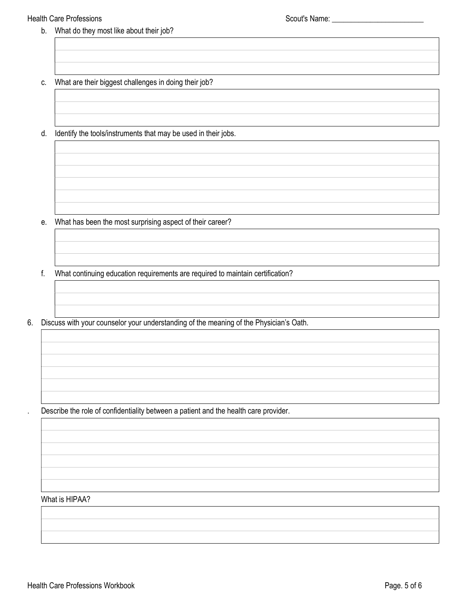## Health Care Professions and the state of the Scout's Name: 1999 Scout's Name: 1999 Scout's Name: 1999 Scout's Name: 1999 Scout's Name: 1999 Scout's Name: 1999 Scout's Name: 1999 Scout's Name: 1999 Scout's Name: 1999 Scout'

- b. What do they most like about their job?
- c. What are their biggest challenges in doing their job?
- d. Identify the tools/instruments that may be used in their jobs.

e. What has been the most surprising aspect of their career?

- f. What continuing education requirements are required to maintain certification?
- 6. Discuss with your counselor your understanding of the meaning of the Physician's Oath.

. Describe the role of confidentiality between a patient and the health care provider.

## What is HIPAA?